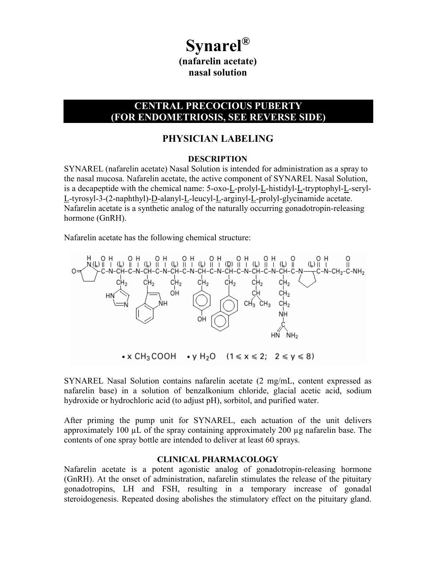# **Synarel® (nafarelin acetate) nasal solution**

# **CENTRAL PRECOCIOUS PUBERTY (FOR ENDOMETRIOSIS, SEE REVERSE SIDE)**

# **PHYSICIAN LABELING**

#### **DESCRIPTION**

SYNAREL (nafarelin acetate) Nasal Solution is intended for administration as a spray to the nasal mucosa. Nafarelin acetate, the active component of SYNAREL Nasal Solution, is a decapeptide with the chemical name: 5-oxo-L-prolyl-L-histidyl-L-tryptophyl-L-seryl-L-tyrosyl-3-(2-naphthyl)-D-alanyl-L-leucyl-L-arginyl-L-prolyl-glycinamide acetate. Nafarelin acetate is a synthetic analog of the naturally occurring gonadotropin-releasing hormone (GnRH).

Nafarelin acetate has the following chemical structure:



SYNAREL Nasal Solution contains nafarelin acetate (2 mg/mL, content expressed as nafarelin base) in a solution of benzalkonium chloride, glacial acetic acid, sodium hydroxide or hydrochloric acid (to adjust pH), sorbitol, and purified water.

After priming the pump unit for SYNAREL, each actuation of the unit delivers approximately 100  $\mu$ L of the spray containing approximately 200  $\mu$ g nafarelin base. The contents of one spray bottle are intended to deliver at least 60 sprays.

#### **CLINICAL PHARMACOLOGY**

Nafarelin acetate is a potent agonistic analog of gonadotropin-releasing hormone (GnRH). At the onset of administration, nafarelin stimulates the release of the pituitary gonadotropins, LH and FSH, resulting in a temporary increase of gonadal steroidogenesis. Repeated dosing abolishes the stimulatory effect on the pituitary gland.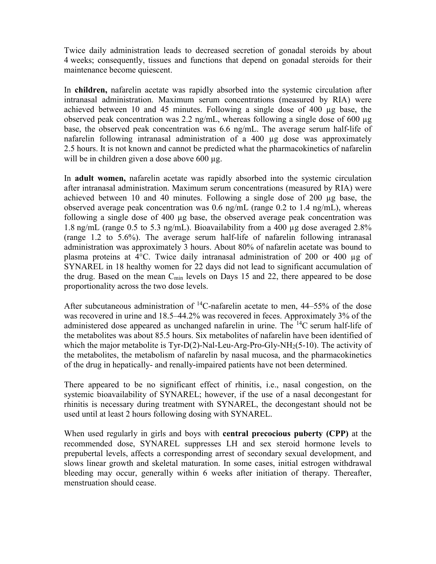Twice daily administration leads to decreased secretion of gonadal steroids by about 4 weeks; consequently, tissues and functions that depend on gonadal steroids for their maintenance become quiescent.

In **children,** nafarelin acetate was rapidly absorbed into the systemic circulation after intranasal administration. Maximum serum concentrations (measured by RIA) were achieved between 10 and 45 minutes. Following a single dose of 400 µg base, the observed peak concentration was 2.2 ng/mL, whereas following a single dose of 600 µg base, the observed peak concentration was 6.6 ng/mL. The average serum half-life of nafarelin following intranasal administration of a 400 µg dose was approximately 2.5 hours. It is not known and cannot be predicted what the pharmacokinetics of nafarelin will be in children given a dose above 600 µg.

In **adult women,** nafarelin acetate was rapidly absorbed into the systemic circulation after intranasal administration. Maximum serum concentrations (measured by RIA) were achieved between 10 and 40 minutes. Following a single dose of 200 µg base, the observed average peak concentration was 0.6 ng/mL (range 0.2 to 1.4 ng/mL), whereas following a single dose of 400 µg base, the observed average peak concentration was 1.8 ng/mL (range 0.5 to 5.3 ng/mL). Bioavailability from a 400 µg dose averaged 2.8% (range 1.2 to 5.6%). The average serum half-life of nafarelin following intranasal administration was approximately 3 hours. About 80% of nafarelin acetate was bound to plasma proteins at  $4^{\circ}$ C. Twice daily intranasal administration of 200 or 400 µg of SYNAREL in 18 healthy women for 22 days did not lead to significant accumulation of the drug. Based on the mean  $C_{\text{min}}$  levels on Days 15 and 22, there appeared to be dose proportionality across the two dose levels.

After subcutaneous administration of  $^{14}$ C-nafarelin acetate to men, 44–55% of the dose was recovered in urine and 18.5–44.2% was recovered in feces. Approximately 3% of the administered dose appeared as unchanged nafarelin in urine. The <sup>14</sup>C serum half-life of the metabolites was about 85.5 hours. Six metabolites of nafarelin have been identified of which the major metabolite is Tyr-D(2)-Nal-Leu-Arg-Pro-Gly-NH $_2(5-10)$ . The activity of the metabolites, the metabolism of nafarelin by nasal mucosa, and the pharmacokinetics of the drug in hepatically- and renally-impaired patients have not been determined.

There appeared to be no significant effect of rhinitis, i.e., nasal congestion, on the systemic bioavailability of SYNAREL; however, if the use of a nasal decongestant for rhinitis is necessary during treatment with SYNAREL, the decongestant should not be used until at least 2 hours following dosing with SYNAREL.

When used regularly in girls and boys with **central precocious puberty (CPP)** at the recommended dose, SYNAREL suppresses LH and sex steroid hormone levels to prepubertal levels, affects a corresponding arrest of secondary sexual development, and slows linear growth and skeletal maturation. In some cases, initial estrogen withdrawal bleeding may occur, generally within 6 weeks after initiation of therapy. Thereafter, menstruation should cease.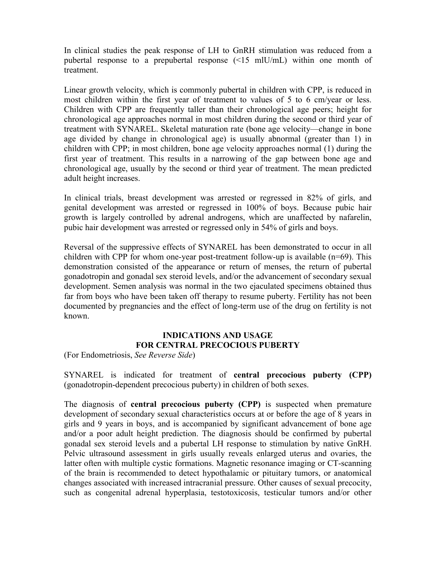In clinical studies the peak response of LH to GnRH stimulation was reduced from a pubertal response to a prepubertal response (<15 mlU/mL) within one month of treatment.

Linear growth velocity, which is commonly pubertal in children with CPP, is reduced in most children within the first year of treatment to values of 5 to 6 cm/year or less. Children with CPP are frequently taller than their chronological age peers; height for chronological age approaches normal in most children during the second or third year of treatment with SYNAREL. Skeletal maturation rate (bone age velocity—change in bone age divided by change in chronological age) is usually abnormal (greater than 1) in children with CPP; in most children, bone age velocity approaches normal (1) during the first year of treatment. This results in a narrowing of the gap between bone age and chronological age, usually by the second or third year of treatment. The mean predicted adult height increases.

In clinical trials, breast development was arrested or regressed in 82% of girls, and genital development was arrested or regressed in 100% of boys. Because pubic hair growth is largely controlled by adrenal androgens, which are unaffected by nafarelin, pubic hair development was arrested or regressed only in 54% of girls and boys.

Reversal of the suppressive effects of SYNAREL has been demonstrated to occur in all children with CPP for whom one-year post-treatment follow-up is available  $(n=69)$ . This demonstration consisted of the appearance or return of menses, the return of pubertal gonadotropin and gonadal sex steroid levels, and/or the advancement of secondary sexual development. Semen analysis was normal in the two ejaculated specimens obtained thus far from boys who have been taken off therapy to resume puberty. Fertility has not been documented by pregnancies and the effect of long-term use of the drug on fertility is not known.

# **INDICATIONS AND USAGE FOR CENTRAL PRECOCIOUS PUBERTY**

(For Endometriosis, *See Reverse Side*)

SYNAREL is indicated for treatment of **central precocious puberty (CPP)**  (gonadotropin-dependent precocious puberty) in children of both sexes.

The diagnosis of **central precocious puberty (CPP)** is suspected when premature development of secondary sexual characteristics occurs at or before the age of 8 years in girls and 9 years in boys, and is accompanied by significant advancement of bone age and/or a poor adult height prediction. The diagnosis should be confirmed by pubertal gonadal sex steroid levels and a pubertal LH response to stimulation by native GnRH. Pelvic ultrasound assessment in girls usually reveals enlarged uterus and ovaries, the latter often with multiple cystic formations. Magnetic resonance imaging or CT-scanning of the brain is recommended to detect hypothalamic or pituitary tumors, or anatomical changes associated with increased intracranial pressure. Other causes of sexual precocity, such as congenital adrenal hyperplasia, testotoxicosis, testicular tumors and/or other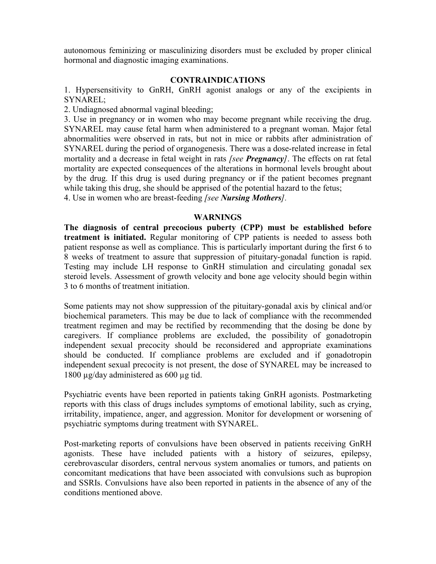autonomous feminizing or masculinizing disorders must be excluded by proper clinical hormonal and diagnostic imaging examinations.

#### **CONTRAINDICATIONS**

1. Hypersensitivity to GnRH, GnRH agonist analogs or any of the excipients in SYNAREL;

2. Undiagnosed abnormal vaginal bleeding;

3. Use in pregnancy or in women who may become pregnant while receiving the drug. SYNAREL may cause fetal harm when administered to a pregnant woman. Major fetal abnormalities were observed in rats, but not in mice or rabbits after administration of SYNAREL during the period of organogenesis. There was a dose-related increase in fetal mortality and a decrease in fetal weight in rats *[see Pregnancy]*. The effects on rat fetal mortality are expected consequences of the alterations in hormonal levels brought about by the drug. If this drug is used during pregnancy or if the patient becomes pregnant while taking this drug, she should be apprised of the potential hazard to the fetus; 4. Use in women who are breast-feeding *[see Nursing Mothers].*

#### **WARNINGS**

**The diagnosis of central precocious puberty (CPP) must be established before treatment is initiated.** Regular monitoring of CPP patients is needed to assess both patient response as well as compliance. This is particularly important during the first 6 to 8 weeks of treatment to assure that suppression of pituitary-gonadal function is rapid. Testing may include LH response to GnRH stimulation and circulating gonadal sex steroid levels. Assessment of growth velocity and bone age velocity should begin within 3 to 6 months of treatment initiation.

Some patients may not show suppression of the pituitary-gonadal axis by clinical and/or biochemical parameters. This may be due to lack of compliance with the recommended treatment regimen and may be rectified by recommending that the dosing be done by caregivers. If compliance problems are excluded, the possibility of gonadotropin independent sexual precocity should be reconsidered and appropriate examinations should be conducted. If compliance problems are excluded and if gonadotropin independent sexual precocity is not present, the dose of SYNAREL may be increased to 1800 µg/day administered as 600 µg tid.

Psychiatric events have been reported in patients taking GnRH agonists. Postmarketing reports with this class of drugs includes symptoms of emotional lability, such as crying, irritability, impatience, anger, and aggression. Monitor for development or worsening of psychiatric symptoms during treatment with SYNAREL.

Post-marketing reports of convulsions have been observed in patients receiving GnRH agonists. These have included patients with a history of seizures, epilepsy, cerebrovascular disorders, central nervous system anomalies or tumors, and patients on concomitant medications that have been associated with convulsions such as bupropion and SSRIs. Convulsions have also been reported in patients in the absence of any of the conditions mentioned above.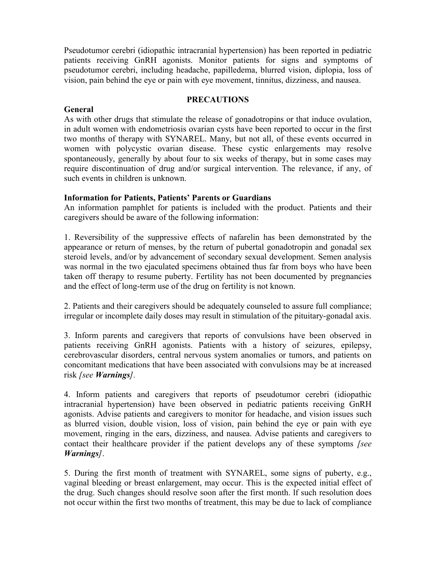Pseudotumor cerebri (idiopathic intracranial hypertension) has been reported in pediatric patients receiving GnRH agonists. Monitor patients for signs and symptoms of pseudotumor cerebri, including headache, papilledema, blurred vision, diplopia, loss of vision, pain behind the eye or pain with eye movement, tinnitus, dizziness, and nausea.

# **General**

# **PRECAUTIONS**

As with other drugs that stimulate the release of gonadotropins or that induce ovulation, in adult women with endometriosis ovarian cysts have been reported to occur in the first two months of therapy with SYNAREL. Many, but not all, of these events occurred in women with polycystic ovarian disease. These cystic enlargements may resolve spontaneously, generally by about four to six weeks of therapy, but in some cases may require discontinuation of drug and/or surgical intervention. The relevance, if any, of such events in children is unknown.

# **Information for Patients, Patients' Parents or Guardians**

An information pamphlet for patients is included with the product. Patients and their caregivers should be aware of the following information:

1. Reversibility of the suppressive effects of nafarelin has been demonstrated by the appearance or return of menses, by the return of pubertal gonadotropin and gonadal sex steroid levels, and/or by advancement of secondary sexual development. Semen analysis was normal in the two ejaculated specimens obtained thus far from boys who have been taken off therapy to resume puberty. Fertility has not been documented by pregnancies and the effect of long-term use of the drug on fertility is not known.

2. Patients and their caregivers should be adequately counseled to assure full compliance; irregular or incomplete daily doses may result in stimulation of the pituitary-gonadal axis.

3. Inform parents and caregivers that reports of convulsions have been observed in patients receiving GnRH agonists. Patients with a history of seizures, epilepsy, cerebrovascular disorders, central nervous system anomalies or tumors, and patients on concomitant medications that have been associated with convulsions may be at increased risk *[see Warnings].*

4. Inform patients and caregivers that reports of pseudotumor cerebri (idiopathic intracranial hypertension) have been observed in pediatric patients receiving GnRH agonists. Advise patients and caregivers to monitor for headache, and vision issues such as blurred vision, double vision, loss of vision, pain behind the eye or pain with eye movement, ringing in the ears, dizziness, and nausea. Advise patients and caregivers to contact their healthcare provider if the patient develops any of these symptoms *[see Warnings]*.

5. During the first month of treatment with SYNAREL, some signs of puberty, e.g., vaginal bleeding or breast enlargement, may occur. This is the expected initial effect of the drug. Such changes should resolve soon after the first month. lf such resolution does not occur within the first two months of treatment, this may be due to lack of compliance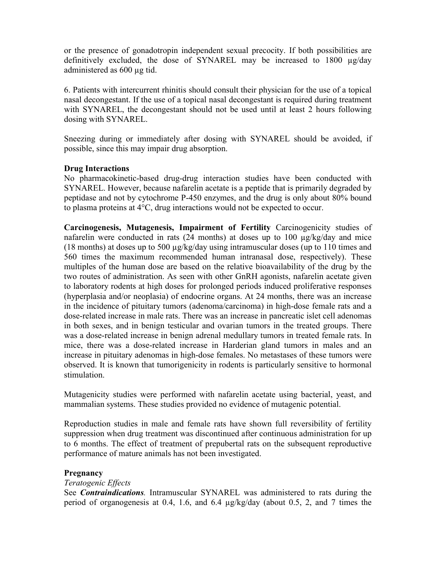or the presence of gonadotropin independent sexual precocity. If both possibilities are definitively excluded, the dose of SYNAREL may be increased to 1800 µg/day administered as 600 µg tid.

6. Patients with intercurrent rhinitis should consult their physician for the use of a topical nasal decongestant. If the use of a topical nasal decongestant is required during treatment with SYNAREL, the decongestant should not be used until at least 2 hours following dosing with SYNAREL.

Sneezing during or immediately after dosing with SYNAREL should be avoided, if possible, since this may impair drug absorption.

# **Drug Interactions**

No pharmacokinetic-based drug-drug interaction studies have been conducted with SYNAREL. However, because nafarelin acetate is a peptide that is primarily degraded by peptidase and not by cytochrome P-450 enzymes, and the drug is only about 80% bound to plasma proteins at 4°C, drug interactions would not be expected to occur.

**Carcinogenesis, Mutagenesis, Impairment of Fertility** Carcinogenicity studies of nafarelin were conducted in rats (24 months) at doses up to 100 µg/kg/day and mice (18 months) at doses up to 500  $\mu$ g/kg/day using intramuscular doses (up to 110 times and 560 times the maximum recommended human intranasal dose, respectively). These multiples of the human dose are based on the relative bioavailability of the drug by the two routes of administration. As seen with other GnRH agonists, nafarelin acetate given to laboratory rodents at high doses for prolonged periods induced proliferative responses (hyperplasia and/or neoplasia) of endocrine organs. At 24 months, there was an increase in the incidence of pituitary tumors (adenoma/carcinoma) in high-dose female rats and a dose-related increase in male rats. There was an increase in pancreatic islet cell adenomas in both sexes, and in benign testicular and ovarian tumors in the treated groups. There was a dose-related increase in benign adrenal medullary tumors in treated female rats. In mice, there was a dose-related increase in Harderian gland tumors in males and an increase in pituitary adenomas in high-dose females. No metastases of these tumors were observed. It is known that tumorigenicity in rodents is particularly sensitive to hormonal stimulation.

Mutagenicity studies were performed with nafarelin acetate using bacterial, yeast, and mammalian systems. These studies provided no evidence of mutagenic potential.

Reproduction studies in male and female rats have shown full reversibility of fertility suppression when drug treatment was discontinued after continuous administration for up to 6 months. The effect of treatment of prepubertal rats on the subsequent reproductive performance of mature animals has not been investigated.

# **Pregnancy**

# *Teratogenic Effects*

See *Contraindications.* Intramuscular SYNAREL was administered to rats during the period of organogenesis at 0.4, 1.6, and 6.4 µg/kg/day (about 0.5, 2, and 7 times the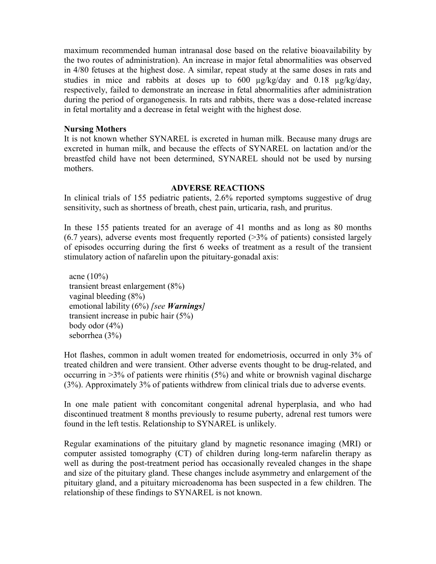maximum recommended human intranasal dose based on the relative bioavailability by the two routes of administration). An increase in major fetal abnormalities was observed in 4/80 fetuses at the highest dose. A similar, repeat study at the same doses in rats and studies in mice and rabbits at doses up to  $600 \mu g/kg/day$  and  $0.18 \mu g/kg/day$ , respectively, failed to demonstrate an increase in fetal abnormalities after administration during the period of organogenesis. In rats and rabbits, there was a dose-related increase in fetal mortality and a decrease in fetal weight with the highest dose.

# **Nursing Mothers**

It is not known whether SYNAREL is excreted in human milk. Because many drugs are excreted in human milk, and because the effects of SYNAREL on lactation and/or the breastfed child have not been determined, SYNAREL should not be used by nursing mothers.

# **ADVERSE REACTIONS**

In clinical trials of 155 pediatric patients, 2.6% reported symptoms suggestive of drug sensitivity, such as shortness of breath, chest pain, urticaria, rash, and pruritus.

In these 155 patients treated for an average of 41 months and as long as 80 months  $(6.7 \text{ years})$ , adverse events most frequently reported  $(>3\% \text{ of patients})$  consisted largely of episodes occurring during the first 6 weeks of treatment as a result of the transient stimulatory action of nafarelin upon the pituitary-gonadal axis:

acne  $(10\%)$ transient breast enlargement (8%) vaginal bleeding (8%) emotional lability (6%) *[see Warnings]* transient increase in pubic hair (5%) body odor (4%) seborrhea (3%)

Hot flashes, common in adult women treated for endometriosis, occurred in only 3% of treated children and were transient. Other adverse events thought to be drug-related, and occurring in >3% of patients were rhinitis (5%) and white or brownish vaginal discharge (3%). Approximately 3% of patients withdrew from clinical trials due to adverse events.

In one male patient with concomitant congenital adrenal hyperplasia, and who had discontinued treatment 8 months previously to resume puberty, adrenal rest tumors were found in the left testis. Relationship to SYNAREL is unlikely.

Regular examinations of the pituitary gland by magnetic resonance imaging (MRI) or computer assisted tomography (CT) of children during long-term nafarelin therapy as well as during the post-treatment period has occasionally revealed changes in the shape and size of the pituitary gland. These changes include asymmetry and enlargement of the pituitary gland, and a pituitary microadenoma has been suspected in a few children. The relationship of these findings to SYNAREL is not known.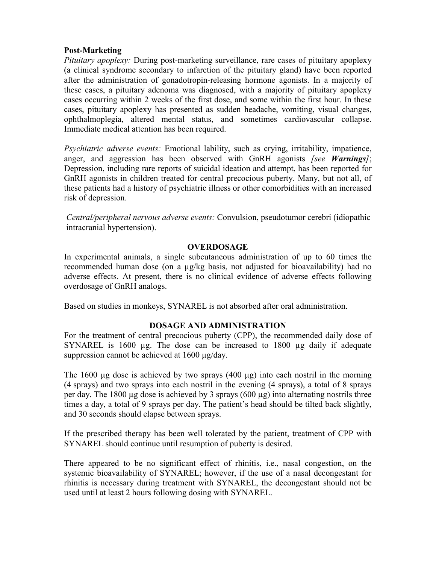# **Post-Marketing**

*Pituitary apoplexy:* During post-marketing surveillance, rare cases of pituitary apoplexy (a clinical syndrome secondary to infarction of the pituitary gland) have been reported after the administration of gonadotropin-releasing hormone agonists. In a majority of these cases, a pituitary adenoma was diagnosed, with a majority of pituitary apoplexy cases occurring within 2 weeks of the first dose, and some within the first hour. In these cases, pituitary apoplexy has presented as sudden headache, vomiting, visual changes, ophthalmoplegia, altered mental status, and sometimes cardiovascular collapse. Immediate medical attention has been required.

*Psychiatric adverse events:* Emotional lability, such as crying, irritability, impatience, anger, and aggression has been observed with GnRH agonists *[see Warnings]*; Depression, including rare reports of suicidal ideation and attempt, has been reported for GnRH agonists in children treated for central precocious puberty. Many, but not all, of these patients had a history of psychiatric illness or other comorbidities with an increased risk of depression.

*Central/peripheral nervous adverse events:* Convulsion, pseudotumor cerebri (idiopathic intracranial hypertension).

# **OVERDOSAGE**

In experimental animals, a single subcutaneous administration of up to 60 times the recommended human dose (on a µg/kg basis, not adjusted for bioavailability) had no adverse effects. At present, there is no clinical evidence of adverse effects following overdosage of GnRH analogs.

Based on studies in monkeys, SYNAREL is not absorbed after oral administration.

# **DOSAGE AND ADMINISTRATION**

For the treatment of central precocious puberty (CPP), the recommended daily dose of SYNAREL is 1600 ug. The dose can be increased to 1800 ug daily if adequate suppression cannot be achieved at 1600 µg/day.

The 1600  $\mu$ g dose is achieved by two sprays (400  $\mu$ g) into each nostril in the morning (4 sprays) and two sprays into each nostril in the evening (4 sprays), a total of 8 sprays per day. The 1800 µg dose is achieved by 3 sprays (600 µg) into alternating nostrils three times a day, a total of 9 sprays per day. The patient's head should be tilted back slightly, and 30 seconds should elapse between sprays.

If the prescribed therapy has been well tolerated by the patient, treatment of CPP with SYNAREL should continue until resumption of puberty is desired.

There appeared to be no significant effect of rhinitis, i.e., nasal congestion, on the systemic bioavailability of SYNAREL; however, if the use of a nasal decongestant for rhinitis is necessary during treatment with SYNAREL, the decongestant should not be used until at least 2 hours following dosing with SYNAREL.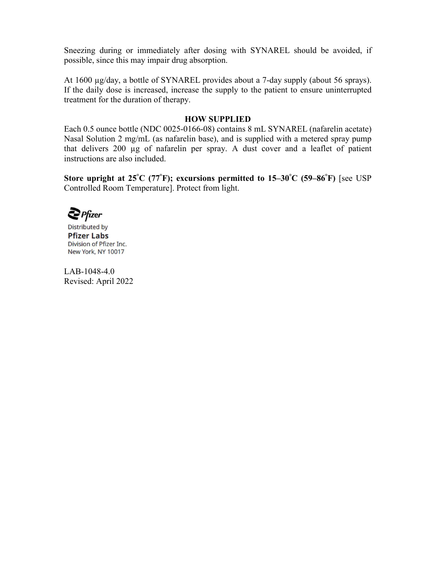Sneezing during or immediately after dosing with SYNAREL should be avoided, if possible, since this may impair drug absorption.

At 1600 µg/day, a bottle of SYNAREL provides about a 7-day supply (about 56 sprays). If the daily dose is increased, increase the supply to the patient to ensure uninterrupted treatment for the duration of therapy.

## **HOW SUPPLIED**

Each 0.5 ounce bottle (NDC 0025-0166-08) contains 8 mL SYNAREL (nafarelin acetate) Nasal Solution 2 mg/mL (as nafarelin base), and is supplied with a metered spray pump that delivers 200 µg of nafarelin per spray. A dust cover and a leaflet of patient instructions are also included.

**Store upright at 25°C (77°F); excursions permitted to 15–30°C (59–86°F)** [see USP Controlled Room Temperature]. Protect from light.

 $\sum$  Pfizer

**Distributed by Pfizer Labs** Division of Pfizer Inc. New York, NY 10017

LAB-1048-4.0 Revised: April 2022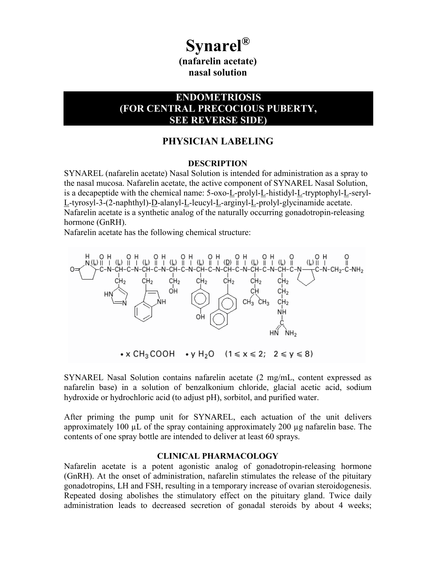# **Synarel®**

**(nafarelin acetate) nasal solution**

# **ENDOMETRIOSIS (FOR CENTRAL PRECOCIOUS PUBERTY, SEE REVERSE SIDE)**

# **PHYSICIAN LABELING**

#### **DESCRIPTION**

SYNAREL (nafarelin acetate) Nasal Solution is intended for administration as a spray to the nasal mucosa. Nafarelin acetate, the active component of SYNAREL Nasal Solution, is a decapeptide with the chemical name: 5-oxo-L-prolyl-L-histidyl-L-tryptophyl-L-seryl-L-tyrosyl-3-(2-naphthyl)-D-alanyl-L-leucyl-L-arginyl-L-prolyl-glycinamide acetate. Nafarelin acetate is a synthetic analog of the naturally occurring gonadotropin-releasing hormone (GnRH).

Nafarelin acetate has the following chemical structure:



 $\bullet$  x CH<sub>3</sub>COOH  $\bullet$  y H<sub>2</sub>O  $(1 \le x \le 2; 2 \le y \le 8)$ 

SYNAREL Nasal Solution contains nafarelin acetate (2 mg/mL, content expressed as nafarelin base) in a solution of benzalkonium chloride, glacial acetic acid, sodium hydroxide or hydrochloric acid (to adjust pH), sorbitol, and purified water.

After priming the pump unit for SYNAREL, each actuation of the unit delivers approximately 100 µL of the spray containing approximately 200 µg nafarelin base. The contents of one spray bottle are intended to deliver at least 60 sprays.

#### **CLINICAL PHARMACOLOGY**

Nafarelin acetate is a potent agonistic analog of gonadotropin-releasing hormone (GnRH). At the onset of administration, nafarelin stimulates the release of the pituitary gonadotropins, LH and FSH, resulting in a temporary increase of ovarian steroidogenesis. Repeated dosing abolishes the stimulatory effect on the pituitary gland. Twice daily administration leads to decreased secretion of gonadal steroids by about 4 weeks;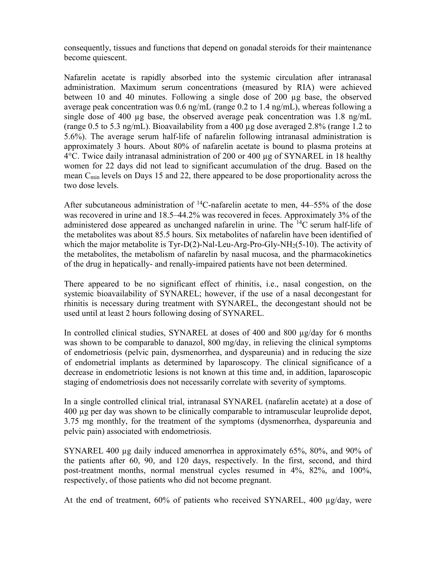consequently, tissues and functions that depend on gonadal steroids for their maintenance become quiescent.

Nafarelin acetate is rapidly absorbed into the systemic circulation after intranasal administration. Maximum serum concentrations (measured by RIA) were achieved between 10 and 40 minutes. Following a single dose of 200 µg base, the observed average peak concentration was 0.6 ng/mL (range 0.2 to 1.4 ng/mL), whereas following a single dose of 400 µg base, the observed average peak concentration was 1.8 ng/mL (range 0.5 to 5.3 ng/mL). Bioavailability from a 400  $\mu$ g dose averaged 2.8% (range 1.2 to 5.6%). The average serum half-life of nafarelin following intranasal administration is approximately 3 hours. About 80% of nafarelin acetate is bound to plasma proteins at 4°C. Twice daily intranasal administration of 200 or 400 µg of SYNAREL in 18 healthy women for 22 days did not lead to significant accumulation of the drug. Based on the mean  $C_{\text{min}}$  levels on Days 15 and 22, there appeared to be dose proportionality across the two dose levels.

After subcutaneous administration of  $^{14}$ C-nafarelin acetate to men, 44–55% of the dose was recovered in urine and 18.5–44.2% was recovered in feces. Approximately 3% of the administered dose appeared as unchanged nafarelin in urine. The  ${}^{14}C$  serum half-life of the metabolites was about 85.5 hours. Six metabolites of nafarelin have been identified of which the major metabolite is Tyr-D(2)-Nal-Leu-Arg-Pro-Gly-NH<sub>2</sub>(5-10). The activity of the metabolites, the metabolism of nafarelin by nasal mucosa, and the pharmacokinetics of the drug in hepatically- and renally-impaired patients have not been determined.

There appeared to be no significant effect of rhinitis, i.e., nasal congestion, on the systemic bioavailability of SYNAREL; however, if the use of a nasal decongestant for rhinitis is necessary during treatment with SYNAREL, the decongestant should not be used until at least 2 hours following dosing of SYNAREL.

In controlled clinical studies, SYNAREL at doses of 400 and 800 µg/day for 6 months was shown to be comparable to danazol, 800 mg/day, in relieving the clinical symptoms of endometriosis (pelvic pain, dysmenorrhea, and dyspareunia) and in reducing the size of endometrial implants as determined by laparoscopy. The clinical significance of a decrease in endometriotic lesions is not known at this time and, in addition, laparoscopic staging of endometriosis does not necessarily correlate with severity of symptoms.

In a single controlled clinical trial, intranasal SYNAREL (nafarelin acetate) at a dose of 400 µg per day was shown to be clinically comparable to intramuscular leuprolide depot, 3.75 mg monthly, for the treatment of the symptoms (dysmenorrhea, dyspareunia and pelvic pain) associated with endometriosis.

SYNAREL 400 µg daily induced amenorrhea in approximately 65%, 80%, and 90% of the patients after 60, 90, and 120 days, respectively. In the first, second, and third post-treatment months, normal menstrual cycles resumed in 4%, 82%, and 100%, respectively, of those patients who did not become pregnant.

At the end of treatment, 60% of patients who received SYNAREL, 400 µg/day, were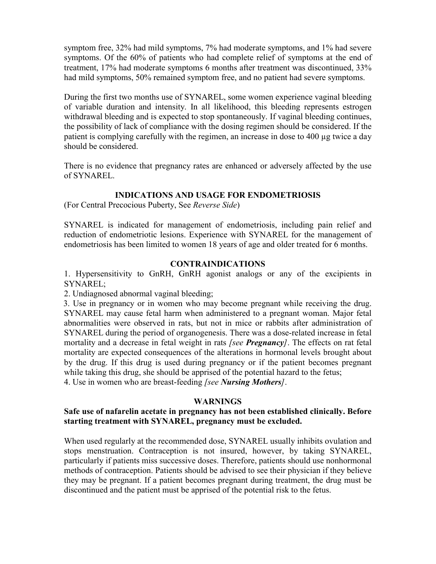symptom free, 32% had mild symptoms, 7% had moderate symptoms, and 1% had severe symptoms. Of the 60% of patients who had complete relief of symptoms at the end of treatment, 17% had moderate symptoms 6 months after treatment was discontinued, 33% had mild symptoms, 50% remained symptom free, and no patient had severe symptoms.

During the first two months use of SYNAREL, some women experience vaginal bleeding of variable duration and intensity. In all likelihood, this bleeding represents estrogen withdrawal bleeding and is expected to stop spontaneously. If vaginal bleeding continues, the possibility of lack of compliance with the dosing regimen should be considered. If the patient is complying carefully with the regimen, an increase in dose to 400 µg twice a day should be considered.

There is no evidence that pregnancy rates are enhanced or adversely affected by the use of SYNAREL.

# **INDICATIONS AND USAGE FOR ENDOMETRIOSIS**

(For Central Precocious Puberty, See *Reverse Side*)

SYNAREL is indicated for management of endometriosis, including pain relief and reduction of endometriotic lesions. Experience with SYNAREL for the management of endometriosis has been limited to women 18 years of age and older treated for 6 months.

# **CONTRAINDICATIONS**

1. Hypersensitivity to GnRH, GnRH agonist analogs or any of the excipients in SYNAREL;

2. Undiagnosed abnormal vaginal bleeding;

3. Use in pregnancy or in women who may become pregnant while receiving the drug. SYNAREL may cause fetal harm when administered to a pregnant woman. Major fetal abnormalities were observed in rats, but not in mice or rabbits after administration of SYNAREL during the period of organogenesis. There was a dose-related increase in fetal mortality and a decrease in fetal weight in rats *[see Pregnancy]*. The effects on rat fetal mortality are expected consequences of the alterations in hormonal levels brought about by the drug. If this drug is used during pregnancy or if the patient becomes pregnant while taking this drug, she should be apprised of the potential hazard to the fetus; 4. Use in women who are breast-feeding *[see Nursing Mothers]*.

# **WARNINGS**

# **Safe use of nafarelin acetate in pregnancy has not been established clinically. Before starting treatment with SYNAREL, pregnancy must be excluded.**

When used regularly at the recommended dose, SYNAREL usually inhibits ovulation and stops menstruation. Contraception is not insured, however, by taking SYNAREL, particularly if patients miss successive doses. Therefore, patients should use nonhormonal methods of contraception. Patients should be advised to see their physician if they believe they may be pregnant. If a patient becomes pregnant during treatment, the drug must be discontinued and the patient must be apprised of the potential risk to the fetus.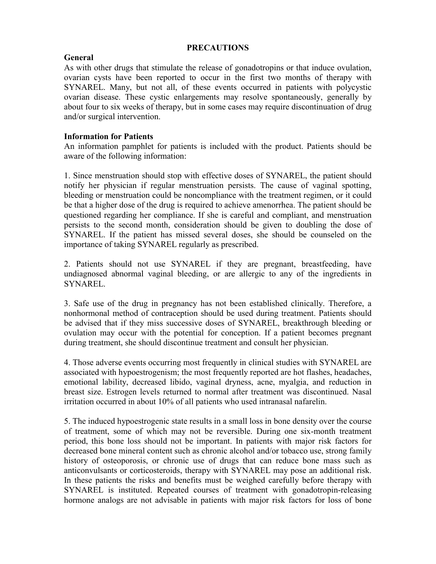## **PRECAUTIONS**

# **General**

As with other drugs that stimulate the release of gonadotropins or that induce ovulation, ovarian cysts have been reported to occur in the first two months of therapy with SYNAREL. Many, but not all, of these events occurred in patients with polycystic ovarian disease. These cystic enlargements may resolve spontaneously, generally by about four to six weeks of therapy, but in some cases may require discontinuation of drug and/or surgical intervention.

# **Information for Patients**

An information pamphlet for patients is included with the product. Patients should be aware of the following information:

1. Since menstruation should stop with effective doses of SYNAREL, the patient should notify her physician if regular menstruation persists. The cause of vaginal spotting, bleeding or menstruation could be noncompliance with the treatment regimen, or it could be that a higher dose of the drug is required to achieve amenorrhea. The patient should be questioned regarding her compliance. If she is careful and compliant, and menstruation persists to the second month, consideration should be given to doubling the dose of SYNAREL. If the patient has missed several doses, she should be counseled on the importance of taking SYNAREL regularly as prescribed.

2. Patients should not use SYNAREL if they are pregnant, breastfeeding, have undiagnosed abnormal vaginal bleeding, or are allergic to any of the ingredients in SYNAREL.

3. Safe use of the drug in pregnancy has not been established clinically. Therefore, a nonhormonal method of contraception should be used during treatment. Patients should be advised that if they miss successive doses of SYNAREL, breakthrough bleeding or ovulation may occur with the potential for conception. If a patient becomes pregnant during treatment, she should discontinue treatment and consult her physician.

4. Those adverse events occurring most frequently in clinical studies with SYNAREL are associated with hypoestrogenism; the most frequently reported are hot flashes, headaches, emotional lability, decreased libido, vaginal dryness, acne, myalgia, and reduction in breast size. Estrogen levels returned to normal after treatment was discontinued. Nasal irritation occurred in about 10% of all patients who used intranasal nafarelin.

5. The induced hypoestrogenic state results in a small loss in bone density over the course of treatment, some of which may not be reversible. During one six-month treatment period, this bone loss should not be important. In patients with major risk factors for decreased bone mineral content such as chronic alcohol and/or tobacco use, strong family history of osteoporosis, or chronic use of drugs that can reduce bone mass such as anticonvulsants or corticosteroids, therapy with SYNAREL may pose an additional risk. In these patients the risks and benefits must be weighed carefully before therapy with SYNAREL is instituted. Repeated courses of treatment with gonadotropin-releasing hormone analogs are not advisable in patients with major risk factors for loss of bone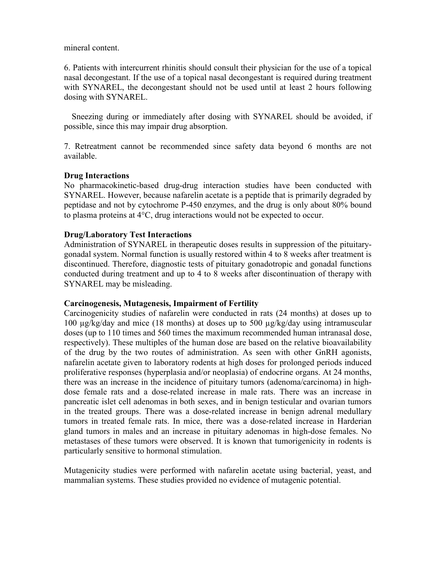mineral content.

6. Patients with intercurrent rhinitis should consult their physician for the use of a topical nasal decongestant. If the use of a topical nasal decongestant is required during treatment with SYNAREL, the decongestant should not be used until at least 2 hours following dosing with SYNAREL.

Sneezing during or immediately after dosing with SYNAREL should be avoided, if possible, since this may impair drug absorption.

7. Retreatment cannot be recommended since safety data beyond 6 months are not available.

# **Drug Interactions**

No pharmacokinetic-based drug-drug interaction studies have been conducted with SYNAREL. However, because nafarelin acetate is a peptide that is primarily degraded by peptidase and not by cytochrome P-450 enzymes, and the drug is only about 80% bound to plasma proteins at 4°C, drug interactions would not be expected to occur.

# **Drug/Laboratory Test Interactions**

Administration of SYNAREL in therapeutic doses results in suppression of the pituitarygonadal system. Normal function is usually restored within 4 to 8 weeks after treatment is discontinued. Therefore, diagnostic tests of pituitary gonadotropic and gonadal functions conducted during treatment and up to 4 to 8 weeks after discontinuation of therapy with SYNAREL may be misleading.

# **Carcinogenesis, Mutagenesis, Impairment of Fertility**

Carcinogenicity studies of nafarelin were conducted in rats (24 months) at doses up to 100 µg/kg/day and mice (18 months) at doses up to 500 µg/kg/day using intramuscular doses (up to 110 times and 560 times the maximum recommended human intranasal dose, respectively). These multiples of the human dose are based on the relative bioavailability of the drug by the two routes of administration. As seen with other GnRH agonists, nafarelin acetate given to laboratory rodents at high doses for prolonged periods induced proliferative responses (hyperplasia and/or neoplasia) of endocrine organs. At 24 months, there was an increase in the incidence of pituitary tumors (adenoma/carcinoma) in highdose female rats and a dose-related increase in male rats. There was an increase in pancreatic islet cell adenomas in both sexes, and in benign testicular and ovarian tumors in the treated groups. There was a dose-related increase in benign adrenal medullary tumors in treated female rats. In mice, there was a dose-related increase in Harderian gland tumors in males and an increase in pituitary adenomas in high-dose females. No metastases of these tumors were observed. It is known that tumorigenicity in rodents is particularly sensitive to hormonal stimulation.

Mutagenicity studies were performed with nafarelin acetate using bacterial, yeast, and mammalian systems. These studies provided no evidence of mutagenic potential.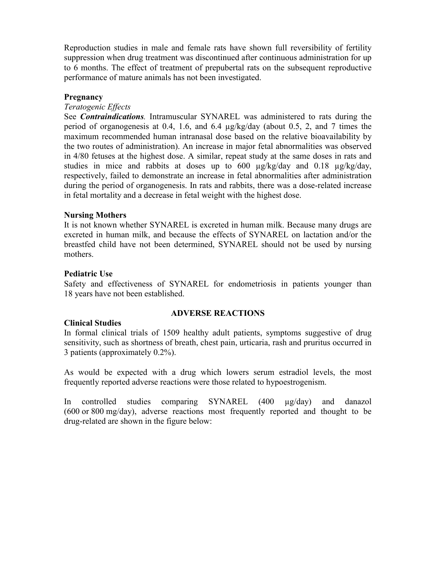Reproduction studies in male and female rats have shown full reversibility of fertility suppression when drug treatment was discontinued after continuous administration for up to 6 months. The effect of treatment of prepubertal rats on the subsequent reproductive performance of mature animals has not been investigated.

# **Pregnancy**

## *Teratogenic Effects*

See *Contraindications.* Intramuscular SYNAREL was administered to rats during the period of organogenesis at 0.4, 1.6, and 6.4 µg/kg/day (about 0.5, 2, and 7 times the maximum recommended human intranasal dose based on the relative bioavailability by the two routes of administration). An increase in major fetal abnormalities was observed in 4/80 fetuses at the highest dose. A similar, repeat study at the same doses in rats and studies in mice and rabbits at doses up to  $600 \mu g/kg/day$  and  $0.18 \mu g/kg/day$ , respectively, failed to demonstrate an increase in fetal abnormalities after administration during the period of organogenesis. In rats and rabbits, there was a dose-related increase in fetal mortality and a decrease in fetal weight with the highest dose.

#### **Nursing Mothers**

It is not known whether SYNAREL is excreted in human milk. Because many drugs are excreted in human milk, and because the effects of SYNAREL on lactation and/or the breastfed child have not been determined, SYNAREL should not be used by nursing mothers.

#### **Pediatric Use**

Safety and effectiveness of SYNAREL for endometriosis in patients younger than 18 years have not been established.

# **Clinical Studies**

# **ADVERSE REACTIONS**

In formal clinical trials of 1509 healthy adult patients, symptoms suggestive of drug sensitivity, such as shortness of breath, chest pain, urticaria, rash and pruritus occurred in 3 patients (approximately 0.2%).

As would be expected with a drug which lowers serum estradiol levels, the most frequently reported adverse reactions were those related to hypoestrogenism.

In controlled studies comparing SYNAREL (400 µg/day) and danazol (600 or 800 mg/day), adverse reactions most frequently reported and thought to be drug-related are shown in the figure below: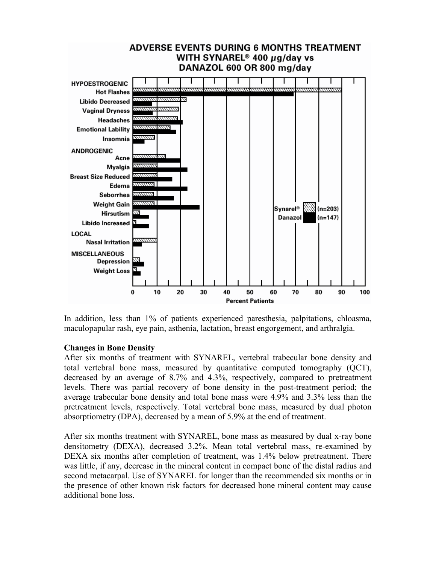

In addition, less than 1% of patients experienced paresthesia, palpitations, chloasma, maculopapular rash, eye pain, asthenia, lactation, breast engorgement, and arthralgia.

#### **Changes in Bone Density**

After six months of treatment with SYNAREL, vertebral trabecular bone density and total vertebral bone mass, measured by quantitative computed tomography (QCT), decreased by an average of 8.7% and 4.3%, respectively, compared to pretreatment levels. There was partial recovery of bone density in the post-treatment period; the average trabecular bone density and total bone mass were 4.9% and 3.3% less than the pretreatment levels, respectively. Total vertebral bone mass, measured by dual photon absorptiometry (DPA), decreased by a mean of 5.9% at the end of treatment.

After six months treatment with SYNAREL, bone mass as measured by dual x-ray bone densitometry (DEXA), decreased 3.2%. Mean total vertebral mass, re-examined by DEXA six months after completion of treatment, was 1.4% below pretreatment. There was little, if any, decrease in the mineral content in compact bone of the distal radius and second metacarpal. Use of SYNAREL for longer than the recommended six months or in the presence of other known risk factors for decreased bone mineral content may cause additional bone loss.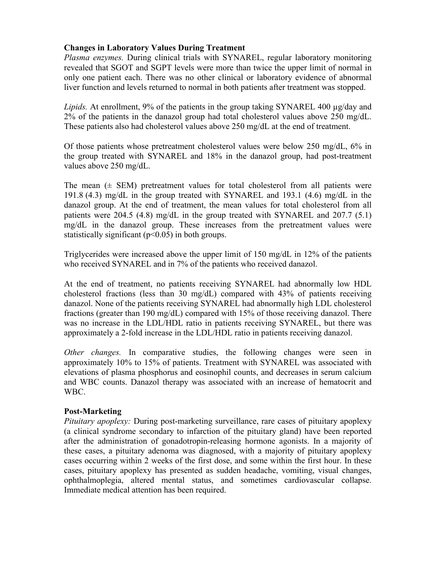# **Changes in Laboratory Values During Treatment**

*Plasma enzymes.* During clinical trials with SYNAREL, regular laboratory monitoring revealed that SGOT and SGPT levels were more than twice the upper limit of normal in only one patient each. There was no other clinical or laboratory evidence of abnormal liver function and levels returned to normal in both patients after treatment was stopped.

*Lipids.* At enrollment, 9% of the patients in the group taking SYNAREL 400 µg/day and 2% of the patients in the danazol group had total cholesterol values above 250 mg/dL. These patients also had cholesterol values above 250 mg/dL at the end of treatment.

Of those patients whose pretreatment cholesterol values were below 250 mg/dL, 6% in the group treated with SYNAREL and 18% in the danazol group, had post-treatment values above 250 mg/dL.

The mean  $(\pm$  SEM) pretreatment values for total cholesterol from all patients were 191.8 (4.3) mg/dL in the group treated with SYNAREL and 193.1 (4.6) mg/dL in the danazol group. At the end of treatment, the mean values for total cholesterol from all patients were 204.5 (4.8) mg/dL in the group treated with SYNAREL and 207.7 (5.1) mg/dL in the danazol group. These increases from the pretreatment values were statistically significant  $(p<0.05)$  in both groups.

Triglycerides were increased above the upper limit of 150 mg/dL in 12% of the patients who received SYNAREL and in 7% of the patients who received danazol.

At the end of treatment, no patients receiving SYNAREL had abnormally low HDL cholesterol fractions (less than 30 mg/dL) compared with 43% of patients receiving danazol. None of the patients receiving SYNAREL had abnormally high LDL cholesterol fractions (greater than 190 mg/dL) compared with 15% of those receiving danazol. There was no increase in the LDL/HDL ratio in patients receiving SYNAREL, but there was approximately a 2-fold increase in the LDL/HDL ratio in patients receiving danazol.

*Other changes.* In comparative studies, the following changes were seen in approximately 10% to 15% of patients. Treatment with SYNAREL was associated with elevations of plasma phosphorus and eosinophil counts, and decreases in serum calcium and WBC counts. Danazol therapy was associated with an increase of hematocrit and WBC.

# **Post-Marketing**

*Pituitary apoplexy:* During post-marketing surveillance, rare cases of pituitary apoplexy (a clinical syndrome secondary to infarction of the pituitary gland) have been reported after the administration of gonadotropin-releasing hormone agonists. In a majority of these cases, a pituitary adenoma was diagnosed, with a majority of pituitary apoplexy cases occurring within 2 weeks of the first dose, and some within the first hour. In these cases, pituitary apoplexy has presented as sudden headache, vomiting, visual changes, ophthalmoplegia, altered mental status, and sometimes cardiovascular collapse. Immediate medical attention has been required.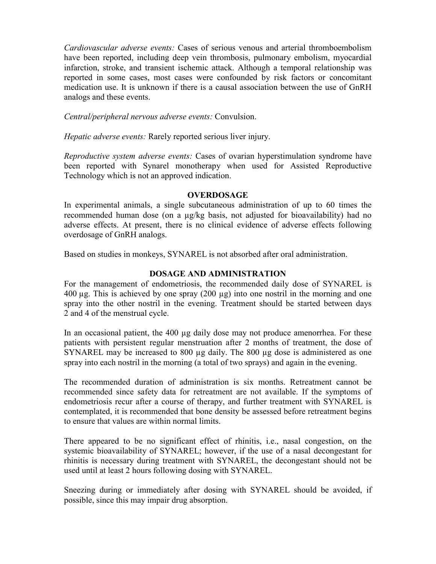*Cardiovascular adverse events:* Cases of serious venous and arterial thromboembolism have been reported, including deep vein thrombosis, pulmonary embolism, myocardial infarction, stroke, and transient ischemic attack. Although a temporal relationship was reported in some cases, most cases were confounded by risk factors or concomitant medication use. It is unknown if there is a causal association between the use of GnRH analogs and these events.

*Central/peripheral nervous adverse events:* Convulsion.

*Hepatic adverse events:* Rarely reported serious liver injury.

*Reproductive system adverse events:* Cases of ovarian hyperstimulation syndrome have been reported with Synarel monotherapy when used for Assisted Reproductive Technology which is not an approved indication.

# **OVERDOSAGE**

In experimental animals, a single subcutaneous administration of up to 60 times the recommended human dose (on a µg/kg basis, not adjusted for bioavailability) had no adverse effects. At present, there is no clinical evidence of adverse effects following overdosage of GnRH analogs.

Based on studies in monkeys, SYNAREL is not absorbed after oral administration.

# **DOSAGE AND ADMINISTRATION**

For the management of endometriosis, the recommended daily dose of SYNAREL is  $400 \mu$ g. This is achieved by one spray  $(200 \mu)$  into one nostril in the morning and one spray into the other nostril in the evening. Treatment should be started between days 2 and 4 of the menstrual cycle.

In an occasional patient, the 400 µg daily dose may not produce amenorrhea. For these patients with persistent regular menstruation after 2 months of treatment, the dose of SYNAREL may be increased to 800 µg daily. The 800 µg dose is administered as one spray into each nostril in the morning (a total of two sprays) and again in the evening.

The recommended duration of administration is six months. Retreatment cannot be recommended since safety data for retreatment are not available. If the symptoms of endometriosis recur after a course of therapy, and further treatment with SYNAREL is contemplated, it is recommended that bone density be assessed before retreatment begins to ensure that values are within normal limits.

There appeared to be no significant effect of rhinitis, i.e., nasal congestion, on the systemic bioavailability of SYNAREL; however, if the use of a nasal decongestant for rhinitis is necessary during treatment with SYNAREL, the decongestant should not be used until at least 2 hours following dosing with SYNAREL.

Sneezing during or immediately after dosing with SYNAREL should be avoided, if possible, since this may impair drug absorption.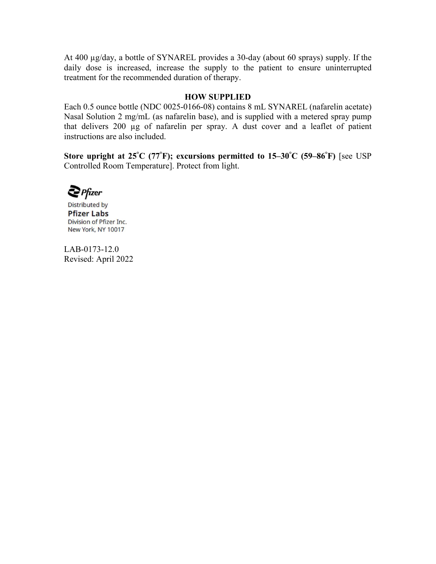At 400 µg/day, a bottle of SYNAREL provides a 30-day (about 60 sprays) supply. If the daily dose is increased, increase the supply to the patient to ensure uninterrupted treatment for the recommended duration of therapy.

#### **HOW SUPPLIED**

Each 0.5 ounce bottle (NDC 0025-0166-08) contains 8 mL SYNAREL (nafarelin acetate) Nasal Solution 2 mg/mL (as nafarelin base), and is supplied with a metered spray pump that delivers 200 µg of nafarelin per spray. A dust cover and a leaflet of patient instructions are also included.

**Store upright at 25°C (77°F); excursions permitted to 15–30°C (59–86°F)** [see USP Controlled Room Temperature]. Protect from light.

 $\sum$  Pfizer

**Distributed** by **Pfizer Labs** Division of Pfizer Inc. New York, NY 10017

LAB-0173-12.0 Revised: April 2022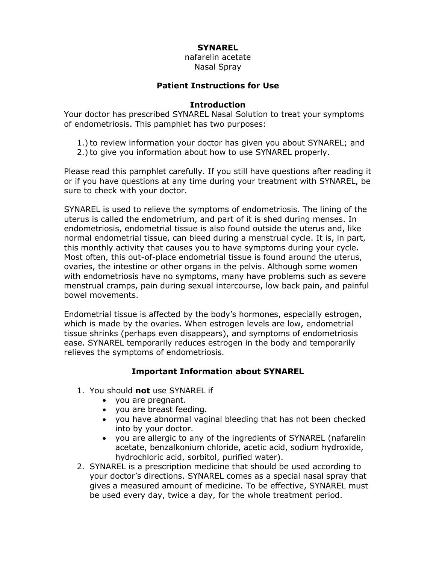# **SYNAREL**

nafarelin acetate Nasal Spray

# **Patient Instructions for Use**

#### **Introduction**

Your doctor has prescribed SYNAREL Nasal Solution to treat your symptoms of endometriosis. This pamphlet has two purposes:

- 1.) to review information your doctor has given you about SYNAREL; and
- 2.) to give you information about how to use SYNAREL properly.

Please read this pamphlet carefully. If you still have questions after reading it or if you have questions at any time during your treatment with SYNAREL, be sure to check with your doctor.

SYNAREL is used to relieve the symptoms of endometriosis. The lining of the uterus is called the endometrium, and part of it is shed during menses. In endometriosis, endometrial tissue is also found outside the uterus and, like normal endometrial tissue, can bleed during a menstrual cycle. It is, in part, this monthly activity that causes you to have symptoms during your cycle. Most often, this out-of-place endometrial tissue is found around the uterus, ovaries, the intestine or other organs in the pelvis. Although some women with endometriosis have no symptoms, many have problems such as severe menstrual cramps, pain during sexual intercourse, low back pain, and painful bowel movements.

Endometrial tissue is affected by the body's hormones, especially estrogen, which is made by the ovaries. When estrogen levels are low, endometrial tissue shrinks (perhaps even disappears), and symptoms of endometriosis ease. SYNAREL temporarily reduces estrogen in the body and temporarily relieves the symptoms of endometriosis.

# **Important Information about SYNAREL**

- 1. You should **not** use SYNAREL if
	- you are pregnant.
	- you are breast feeding.
	- you have abnormal vaginal bleeding that has not been checked into by your doctor.
	- you are allergic to any of the ingredients of SYNAREL (nafarelin acetate, benzalkonium chloride, acetic acid, sodium hydroxide, hydrochloric acid, sorbitol, purified water).
- 2. SYNAREL is a prescription medicine that should be used according to your doctor's directions. SYNAREL comes as a special nasal spray that gives a measured amount of medicine. To be effective, SYNAREL must be used every day, twice a day, for the whole treatment period.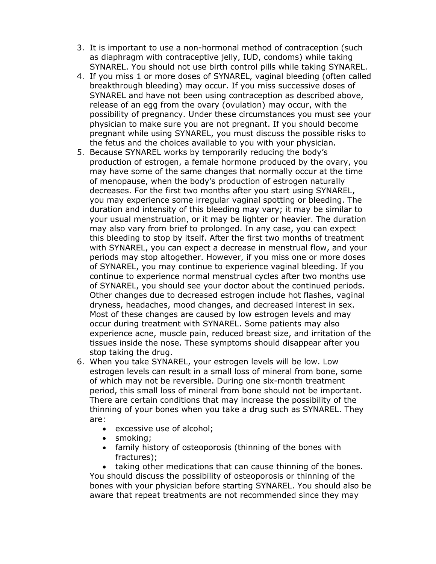- 3. It is important to use a non-hormonal method of contraception (such as diaphragm with contraceptive jelly, IUD, condoms) while taking SYNAREL. You should not use birth control pills while taking SYNAREL.
- 4. If you miss 1 or more doses of SYNAREL, vaginal bleeding (often called breakthrough bleeding) may occur. If you miss successive doses of SYNAREL and have not been using contraception as described above, release of an egg from the ovary (ovulation) may occur, with the possibility of pregnancy. Under these circumstances you must see your physician to make sure you are not pregnant. If you should become pregnant while using SYNAREL, you must discuss the possible risks to the fetus and the choices available to you with your physician.
- 5. Because SYNAREL works by temporarily reducing the body's production of estrogen, a female hormone produced by the ovary, you may have some of the same changes that normally occur at the time of menopause, when the body's production of estrogen naturally decreases. For the first two months after you start using SYNAREL, you may experience some irregular vaginal spotting or bleeding. The duration and intensity of this bleeding may vary; it may be similar to your usual menstruation, or it may be lighter or heavier. The duration may also vary from brief to prolonged. In any case, you can expect this bleeding to stop by itself. After the first two months of treatment with SYNAREL, you can expect a decrease in menstrual flow, and your periods may stop altogether. However, if you miss one or more doses of SYNAREL, you may continue to experience vaginal bleeding. If you continue to experience normal menstrual cycles after two months use of SYNAREL, you should see your doctor about the continued periods. Other changes due to decreased estrogen include hot flashes, vaginal dryness, headaches, mood changes, and decreased interest in sex. Most of these changes are caused by low estrogen levels and may occur during treatment with SYNAREL. Some patients may also experience acne, muscle pain, reduced breast size, and irritation of the tissues inside the nose. These symptoms should disappear after you stop taking the drug.
- 6. When you take SYNAREL, your estrogen levels will be low. Low estrogen levels can result in a small loss of mineral from bone, some of which may not be reversible. During one six-month treatment period, this small loss of mineral from bone should not be important. There are certain conditions that may increase the possibility of the thinning of your bones when you take a drug such as SYNAREL. They are:
	- excessive use of alcohol;
	- smoking;
	- family history of osteoporosis (thinning of the bones with fractures);

 taking other medications that can cause thinning of the bones. You should discuss the possibility of osteoporosis or thinning of the bones with your physician before starting SYNAREL. You should also be aware that repeat treatments are not recommended since they may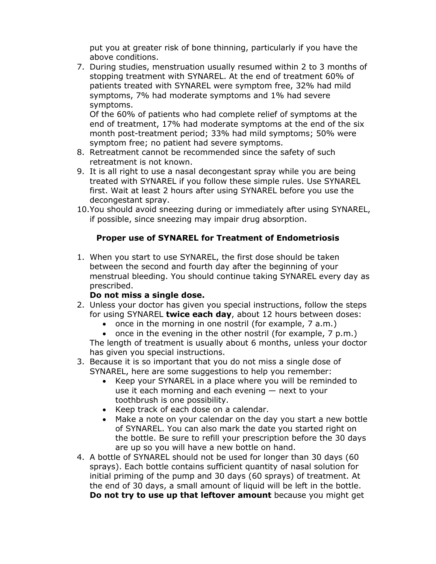put you at greater risk of bone thinning, particularly if you have the above conditions.

7. During studies, menstruation usually resumed within 2 to 3 months of stopping treatment with SYNAREL. At the end of treatment 60% of patients treated with SYNAREL were symptom free, 32% had mild symptoms, 7% had moderate symptoms and 1% had severe symptoms.

Of the 60% of patients who had complete relief of symptoms at the end of treatment, 17% had moderate symptoms at the end of the six month post-treatment period; 33% had mild symptoms; 50% were symptom free; no patient had severe symptoms.

- 8. Retreatment cannot be recommended since the safety of such retreatment is not known.
- 9. It is all right to use a nasal decongestant spray while you are being treated with SYNAREL if you follow these simple rules. Use SYNAREL first. Wait at least 2 hours after using SYNAREL before you use the decongestant spray.
- 10.You should avoid sneezing during or immediately after using SYNAREL, if possible, since sneezing may impair drug absorption.

# **Proper use of SYNAREL for Treatment of Endometriosis**

1. When you start to use SYNAREL, the first dose should be taken between the second and fourth day after the beginning of your menstrual bleeding. You should continue taking SYNAREL every day as prescribed.

# **Do not miss a single dose.**

- 2. Unless your doctor has given you special instructions, follow the steps for using SYNAREL **twice each day**, about 12 hours between doses:
	- $\bullet$  once in the morning in one nostril (for example, 7 a.m.)

 $\bullet$  once in the evening in the other nostril (for example,  $7 \text{ p.m.}$ ) The length of treatment is usually about 6 months, unless your doctor has given you special instructions.

- 3. Because it is so important that you do not miss a single dose of SYNAREL, here are some suggestions to help you remember:
	- Keep your SYNAREL in a place where you will be reminded to use it each morning and each evening — next to your toothbrush is one possibility.
	- Keep track of each dose on a calendar.
	- Make a note on your calendar on the day you start a new bottle of SYNAREL. You can also mark the date you started right on the bottle. Be sure to refill your prescription before the 30 days are up so you will have a new bottle on hand.
- 4. A bottle of SYNAREL should not be used for longer than 30 days (60 sprays). Each bottle contains sufficient quantity of nasal solution for initial priming of the pump and 30 days (60 sprays) of treatment. At the end of 30 days, a small amount of liquid will be left in the bottle. **Do not try to use up that leftover amount** because you might get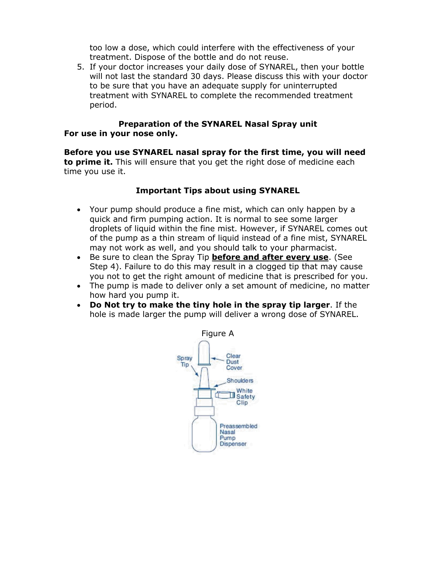too low a dose, which could interfere with the effectiveness of your treatment. Dispose of the bottle and do not reuse.

5. If your doctor increases your daily dose of SYNAREL, then your bottle will not last the standard 30 days. Please discuss this with your doctor to be sure that you have an adequate supply for uninterrupted treatment with SYNAREL to complete the recommended treatment period.

# **Preparation of the SYNAREL Nasal Spray unit For use in your nose only.**

**Before you use SYNAREL nasal spray for the first time, you will need to prime it.** This will ensure that you get the right dose of medicine each time you use it.

# **Important Tips about using SYNAREL**

- Your pump should produce a fine mist, which can only happen by a quick and firm pumping action. It is normal to see some larger droplets of liquid within the fine mist. However, if SYNAREL comes out of the pump as a thin stream of liquid instead of a fine mist, SYNAREL may not work as well, and you should talk to your pharmacist.
- Be sure to clean the Spray Tip **before and after every use**. (See Step 4). Failure to do this may result in a clogged tip that may cause you not to get the right amount of medicine that is prescribed for you.
- The pump is made to deliver only a set amount of medicine, no matter how hard you pump it.
- **Do Not try to make the tiny hole in the spray tip larger**. If the hole is made larger the pump will deliver a wrong dose of SYNAREL.

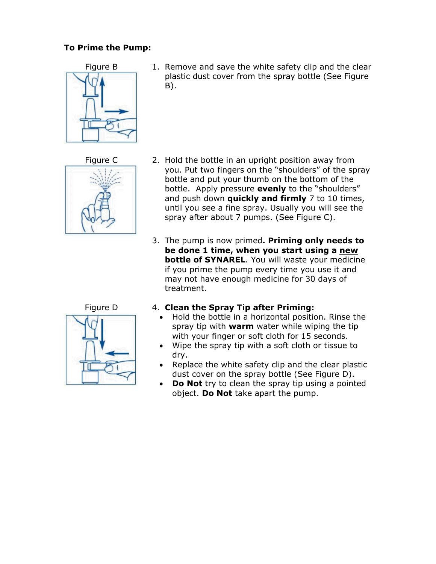# **To Prime the Pump:**



Figure B 1. Remove and save the white safety clip and the clear plastic dust cover from the spray bottle (See Figure B).



- Figure C 2. Hold the bottle in an upright position away from you. Put two fingers on the "shoulders" of the spray bottle and put your thumb on the bottom of the bottle. Apply pressure **evenly** to the "shoulders" and push down **quickly and firmly** 7 to 10 times, until you see a fine spray. Usually you will see the spray after about 7 pumps. (See Figure C).
	- 3. The pump is now primed**. Priming only needs to be done 1 time, when you start using a new bottle of SYNAREL**. You will waste your medicine if you prime the pump every time you use it and may not have enough medicine for 30 days of treatment.



# Figure D 4. **Clean the Spray Tip after Priming:**

- Hold the bottle in a horizontal position. Rinse the spray tip with **warm** water while wiping the tip with your finger or soft cloth for 15 seconds.
- Wipe the spray tip with a soft cloth or tissue to dry.
- Replace the white safety clip and the clear plastic dust cover on the spray bottle (See Figure D).
- **Do Not** try to clean the spray tip using a pointed object. **Do Not** take apart the pump.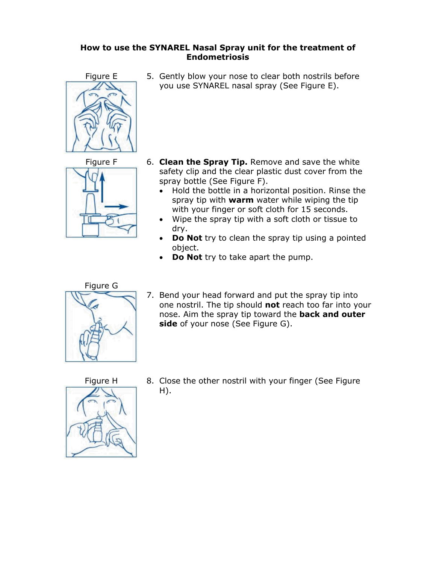# **How to use the SYNAREL Nasal Spray unit for the treatment of Endometriosis**





Figure E 5. Gently blow your nose to clear both nostrils before you use SYNAREL nasal spray (See Figure E).

- Figure F 6. **Clean the Spray Tip.** Remove and save the white safety clip and the clear plastic dust cover from the spray bottle (See Figure F).
	- Hold the bottle in a horizontal position. Rinse the spray tip with **warm** water while wiping the tip with your finger or soft cloth for 15 seconds.
	- Wipe the spray tip with a soft cloth or tissue to dry.
	- **Do Not** try to clean the spray tip using a pointed object.
	- **Do Not** try to take apart the pump.



7. Bend your head forward and put the spray tip into one nostril. The tip should **not** reach too far into your nose. Aim the spray tip toward the **back and outer side** of your nose (See Figure G).



Figure H 8. Close the other nostril with your finger (See Figure  $H$ ).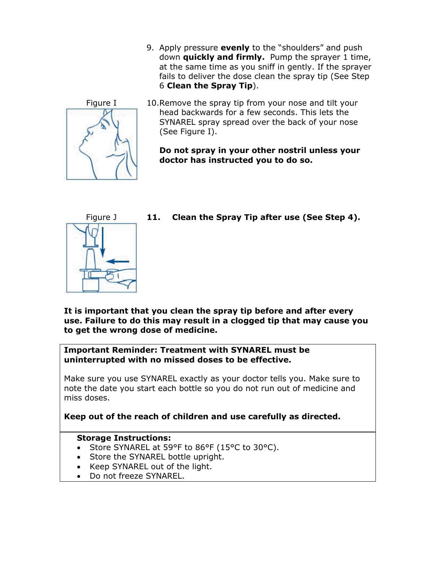9. Apply pressure **evenly** to the "shoulders" and push down **quickly and firmly.** Pump the sprayer 1 time, at the same time as you sniff in gently. If the sprayer fails to deliver the dose clean the spray tip (See Step 6 **Clean the Spray Tip**).



Figure I 10.Remove the spray tip from your nose and tilt your head backwards for a few seconds. This lets the SYNAREL spray spread over the back of your nose (See Figure I).

> **Do not spray in your other nostril unless your doctor has instructed you to do so.**



Figure J **11. Clean the Spray Tip after use (See Step 4).** 

**It is important that you clean the spray tip before and after every use. Failure to do this may result in a clogged tip that may cause you to get the wrong dose of medicine.**

**Important Reminder: Treatment with SYNAREL must be uninterrupted with no missed doses to be effective.**

Make sure you use SYNAREL exactly as your doctor tells you. Make sure to note the date you start each bottle so you do not run out of medicine and miss doses.

**Keep out of the reach of children and use carefully as directed.**

# **Storage Instructions:**

- Store SYNAREL at 59°F to 86°F (15°C to 30°C).
- Store the SYNAREL bottle upright.
- Keep SYNAREL out of the light.
- Do not freeze SYNAREL.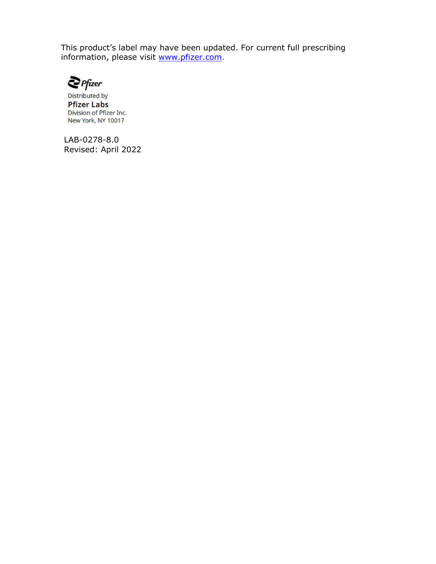This product's label may have been updated. For current full prescribing information, please visit [www.pfizer.com.](http://www.pfizer.com/)



**Distributed by Pfizer Labs** Division of Pfizer Inc. New York, NY 10017

LAB-0278-8.0 Revised: April 2022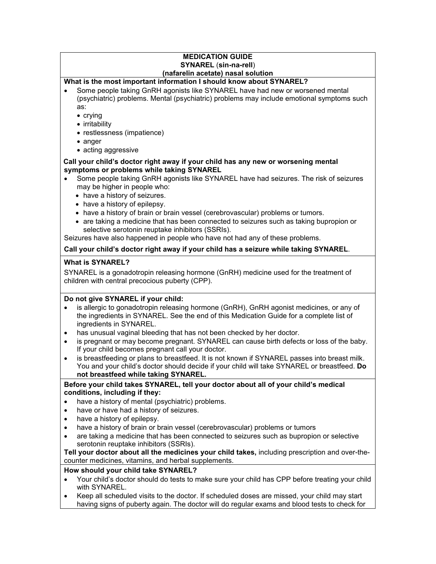#### **MEDICATION GUIDE SYNAREL** (**sin-na-rell**) **(nafarelin acetate) nasal solution**

#### **What is the most important information I should know about SYNAREL?**

 Some people taking GnRH agonists like SYNAREL have had new or worsened mental (psychiatric) problems. Mental (psychiatric) problems may include emotional symptoms such as:

 $\bullet$  crying

- irritability
- restlessness (impatience)
- anger
- acting aggressive

#### **Call your child's doctor right away if your child has any new or worsening mental symptoms or problems while taking SYNAREL**

- Some people taking GnRH agonists like SYNAREL have had seizures. The risk of seizures may be higher in people who:
	- have a history of seizures.
	- have a history of epilepsy.
	- have a history of brain or brain vessel (cerebrovascular) problems or tumors.
	- are taking a medicine that has been connected to seizures such as taking bupropion or selective serotonin reuptake inhibitors (SSRIs).

Seizures have also happened in people who have not had any of these problems.

#### **Call your child's doctor right away if your child has a seizure while taking SYNAREL**.

#### **What is SYNAREL?**

SYNAREL is a gonadotropin releasing hormone (GnRH) medicine used for the treatment of children with central precocious puberty (CPP).

#### **Do not give SYNAREL if your child:**

- is allergic to gonadotropin releasing hormone (GnRH), GnRH agonist medicines, or any of the ingredients in SYNAREL. See the end of this Medication Guide for a complete list of ingredients in SYNAREL.
- has unusual vaginal bleeding that has not been checked by her doctor.
- is pregnant or may become pregnant. SYNAREL can cause birth defects or loss of the baby. If your child becomes pregnant call your doctor.
- is breastfeeding or plans to breastfeed. It is not known if SYNAREL passes into breast milk. You and your child's doctor should decide if your child will take SYNAREL or breastfeed. **Do not breastfeed while taking SYNAREL.**

#### **Before your child takes SYNAREL, tell your doctor about all of your child's medical conditions, including if they:**

- have a history of mental (psychiatric) problems.
- have or have had a history of seizures.
- have a history of epilepsy.
- have a history of brain or brain vessel (cerebrovascular) problems or tumors
- are taking a medicine that has been connected to seizures such as bupropion or selective serotonin reuptake inhibitors (SSRIs).

**Tell your doctor about all the medicines your child takes,** including prescription and over-thecounter medicines, vitamins, and herbal supplements.

#### **How should your child take SYNAREL?**

- Your child's doctor should do tests to make sure your child has CPP before treating your child with SYNAREL.
- Keep all scheduled visits to the doctor. If scheduled doses are missed, your child may start having signs of puberty again. The doctor will do regular exams and blood tests to check for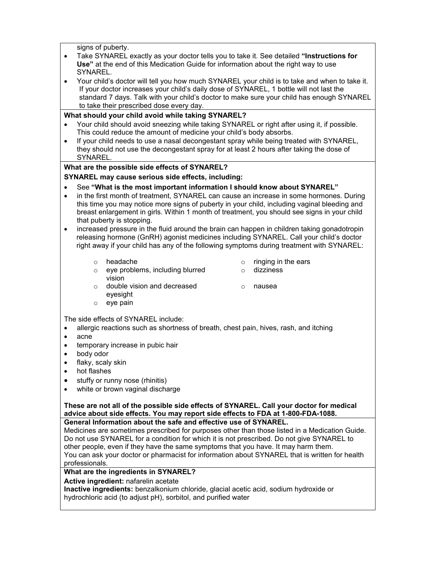signs of puberty.

- Take SYNAREL exactly as your doctor tells you to take it. See detailed **"Instructions for Use"** at the end of this Medication Guide for information about the right way to use SYNAREL.
- Your child's doctor will tell you how much SYNAREL your child is to take and when to take it. If your doctor increases your child's daily dose of SYNAREL, 1 bottle will not last the standard 7 days. Talk with your child's doctor to make sure your child has enough SYNAREL to take their prescribed dose every day.

#### **What should your child avoid while taking SYNAREL?**

- Your child should avoid sneezing while taking SYNAREL or right after using it, if possible. This could reduce the amount of medicine your child's body absorbs.
- If your child needs to use a nasal decongestant spray while being treated with SYNAREL, they should not use the decongestant spray for at least 2 hours after taking the dose of SYNAREL.

#### **What are the possible side effects of SYNAREL?**

**SYNAREL may cause serious side effects, including:** 

- See **"What is the most important information I should know about SYNAREL"**
- in the first month of treatment, SYNAREL can cause an increase in some hormones. During this time you may notice more signs of puberty in your child, including vaginal bleeding and breast enlargement in girls. Within 1 month of treatment, you should see signs in your child that puberty is stopping.
- increased pressure in the fluid around the brain can happen in children taking gonadotropin releasing hormone (GnRH) agonist medicines including SYNAREL. Call your child's doctor right away if your child has any of the following symptoms during treatment with SYNAREL:
	-
	- o eye problems, including blurred vision
	- o headache o ringing in the ears
		- o dizziness

o nausea

- o double vision and decreased eyesight
- o eye pain

The side effects of SYNAREL include:

- allergic reactions such as shortness of breath, chest pain, hives, rash, and itching
- acne
- **•** temporary increase in pubic hair
- body odor
- flaky, scaly skin
- hot flashes
- stuffy or runny nose (rhinitis)
- white or brown vaginal discharge

# **These are not all of the possible side effects of SYNAREL. Call your doctor for medical advice about side effects. You may report side effects to FDA at 1-800-FDA-1088.**

**General Information about the safe and effective use of SYNAREL.**

Medicines are sometimes prescribed for purposes other than those listed in a Medication Guide. Do not use SYNAREL for a condition for which it is not prescribed. Do not give SYNAREL to other people, even if they have the same symptoms that you have. It may harm them. You can ask your doctor or pharmacist for information about SYNAREL that is written for health professionals.

#### **What are the ingredients in SYNAREL?**

**Active ingredient:** nafarelin acetate

**Inactive ingredients:** benzalkonium chloride, glacial acetic acid, sodium hydroxide or hydrochloric acid (to adjust pH), sorbitol, and purified water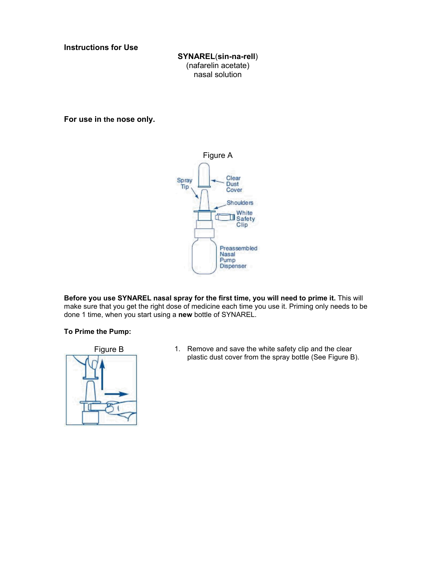**Instructions for Use**

**SYNAREL**(**sin-na-rell**) (nafarelin acetate) nasal solution

**For use in the nose only.**



**Before you use SYNAREL nasal spray for the first time, you will need to prime it.** This will make sure that you get the right dose of medicine each time you use it. Priming only needs to be done 1 time, when you start using a **new** bottle of SYNAREL.

#### **To Prime the Pump:**



Figure B 1. Remove and save the white safety clip and the clear plastic dust cover from the spray bottle (See Figure B).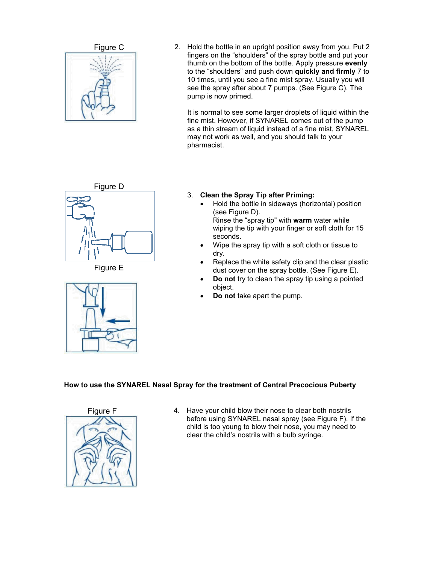

Figure C 2. Hold the bottle in an upright position away from you. Put 2 fingers on the "shoulders" of the spray bottle and put your thumb on the bottom of the bottle. Apply pressure **evenly** to the "shoulders" and push down **quickly and firmly** 7 to 10 times, until you see a fine mist spray. Usually you will see the spray after about 7 pumps. (See Figure C). The pump is now primed.

> It is normal to see some larger droplets of liquid within the fine mist. However, if SYNAREL comes out of the pump as a thin stream of liquid instead of a fine mist, SYNAREL may not work as well, and you should talk to your pharmacist.



Figure E



- 3. **Clean the Spray Tip after Priming:**
	- Hold the bottle in sideways (horizontal) position (see Figure D). Rinse the "spray tip" with **warm** water while
		- wiping the tip with your finger or soft cloth for 15 seconds.
	- Wipe the spray tip with a soft cloth or tissue to dry.
	- Replace the white safety clip and the clear plastic dust cover on the spray bottle. (See Figure E).
	- **Do not** try to clean the spray tip using a pointed object.
	- **Do not** take apart the pump.

#### **How to use the SYNAREL Nasal Spray for the treatment of Central Precocious Puberty**



Figure F 4. Have your child blow their nose to clear both nostrils before using SYNAREL nasal spray (see Figure F). If the child is too young to blow their nose, you may need to clear the child's nostrils with a bulb syringe.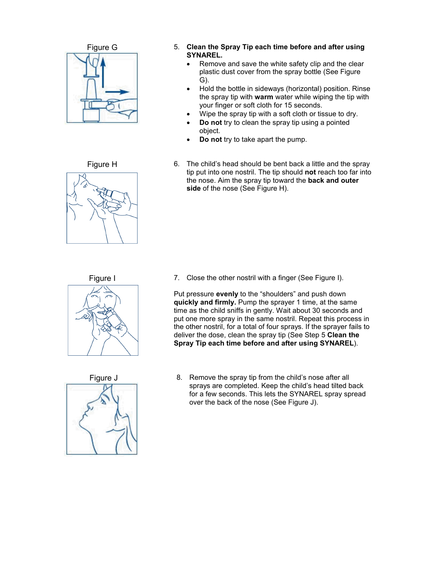



- Figure G 5. **Clean the Spray Tip each time before and after using SYNAREL.**
	- Remove and save the white safety clip and the clear plastic dust cover from the spray bottle (See Figure G).
	- Hold the bottle in sideways (horizontal) position. Rinse the spray tip with **warm** water while wiping the tip with your finger or soft cloth for 15 seconds.
	- Wipe the spray tip with a soft cloth or tissue to dry.
	- **Do not** try to clean the spray tip using a pointed object.
	- **Do not** try to take apart the pump.
- Figure H 6. The child's head should be bent back a little and the spray tip put into one nostril. The tip should **not** reach too far into the nose. Aim the spray tip toward the **back and outer side** of the nose (See Figure H).

Figure I 7. Close the other nostril with a finger (See Figure I).

Put pressure **evenly** to the "shoulders" and push down **quickly and firmly.** Pump the sprayer 1 time, at the same time as the child sniffs in gently. Wait about 30 seconds and put one more spray in the same nostril. Repeat this process in the other nostril, for a total of four sprays. If the sprayer fails to deliver the dose, clean the spray tip (See Step 5 **Clean the Spray Tip each time before and after using SYNAREL**).



Figure J 8. Remove the spray tip from the child's nose after all sprays are completed. Keep the child's head tilted back for a few seconds. This lets the SYNAREL spray spread over the back of the nose (See Figure J).